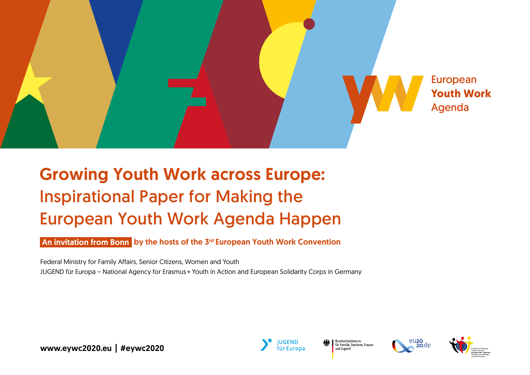

# Growing Youth Work across Europe: Inspirational Paper for Making the European Youth Work Agenda Happen

An invitation from Bonn by the hosts of the 3<sup>rd</sup> European Youth Work Convention

Federal Ministry for Family Affairs, Senior Citizens, Women and Youth JUGEND für Europa – National Agency for Erasmus + Youth in Action and European Solidarity Corps in Germany

www.eywc2020.eu | #eywc2020

![](_page_0_Picture_5.jpeg)

**Bundesministerium** für Familie, Senioren, Frauen und Jugend

![](_page_0_Picture_7.jpeg)

![](_page_0_Picture_8.jpeg)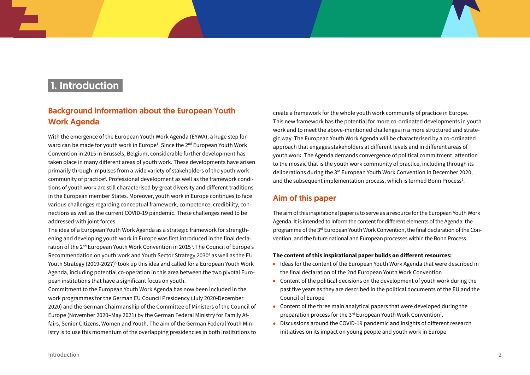# 1. Introduction

# Background information about the European Youth Work Agenda

With the emergence of the European Youth Work Agenda (EYWA), a huge step forward can be made for youth work in Europe<del>'</del>. Since the 2nd European Youth Work Convention in 2015 in Brussels, Belgium, considerable further development has taken place in many different areas of youth work. These developments have arisen primarily through impulses from a wide variety of stakeholders of the youth work community of practice<sup>2</sup>. Professional development as well as the framework conditions of youth work are still characterised by great diversity and different traditions in the European member States. Moreover, youth work in Europe continues to face various challenges regarding conceptual framework, competence, credibility, connections as well as the current COVID-19 pandemic. These challenges need to be addressed with joint forces.

The idea of a European Youth Work Agenda as a strategic framework for strengthening and developing youth work in Europe was first introduced in the final declaration of the 2nd European Youth Work Convention in 2015<sup>3</sup>. The Council of Europe's Recommendation on youth work and Youth Sector Strategy 20304 as well as the EU Youth Strategy (2019-2027)<sup>5</sup> took up this idea and called for a European Youth Work Agenda, including potential co-operation in this area between the two pivotal European institutions that have a significant focus on youth.

Commitment to the European Youth Work Agenda has now been included in the work programmes for the German EU Council Presidency (July 2020-December 2020) and the German Chairmanship of the Committee of Ministers of the Council of Europe (November 2020–May 2021) by the German Federal Ministry for Family Affairs, Senior Citizens, Women and Youth. The aim of the German Federal Youth Ministry is to use this momentum of the overlapping presidencies in both institutions to

create a framework for the whole youth work community of practice in Europe. This new framework has the potential for more co-ordinated developments in youth work and to meet the above-mentioned challenges in a more structured and strategic way. The European Youth Work Agenda will be characterised by a co-ordinated approach that engages stakeholders at different levels and in different areas of youth work. The Agenda demands convergence of political commitment, attention to the mosaic that is the youth work community of practice, including through its deliberations during the 3rd European Youth Work Convention in December 2020, and the subsequent implementation process, which is termed Bonn Process<sup>6</sup>.

### Aim of this paper

The aim of this inspirational paper is to serve as a resource for the European Youth Work Agenda. It is intended to inform the content for different elements of the Agenda: the programme of the  $3^{rd}$  European Youth Work Convention, the final declaration of the Convention, and the future national and European processes within the Bonn Process.

#### **The content of this inspirational paper builds on different resources:**

- Ideas for the content of the European Youth Work Agenda that were described in the final declaration of the 2nd European Youth Work Convention
- Content of the political decisions on the development of youth work during the past five years as they are described in the political documents of the EU and the Council of Europe
- Content of the three main analytical papers that were developed during the preparation process for the 3<sup>rd</sup> European Youth Work Convention<sup>7</sup>.
- Discussions around the COVID-19 pandemic and insights of different research initiatives on its impact on young people and youth work in Europe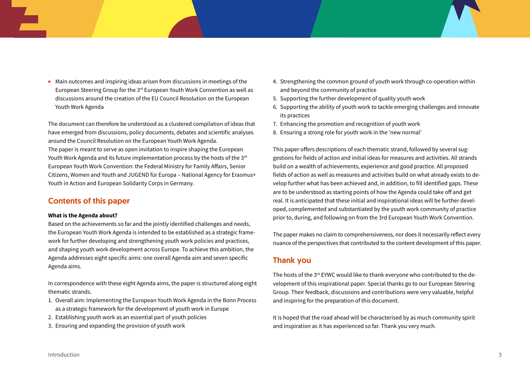Main outcomes and inspiring ideas arisen from discussions in meetings of the European Steering Group for the 3rd European Youth Work Convention as well as discussions around the creation of the EU Council Resolution on the European Youth Work Agenda

The document can therefore be understood as a clustered compilation of ideas that have emerged from discussions, policy documents, debates and scientific analyses around the Council Resolution on the European Youth Work Agenda. The paper is meant to serve as open invitation to inspire shaping the European Youth Work Agenda and its future implementation process by the hosts of the 3<sup>rd</sup> European Youth Work Convention: the Federal Ministry for Family Affairs, Senior Citizens, Women and Youth and JUGEND für Europa – National Agency for Erasmus+ Youth in Action and European Solidarity Corps in Germany.

### Contents of this paper

#### **What is the Agenda about?**

Based on the achievements so far and the jointly identified challenges and needs, the European Youth Work Agenda is intended to be established as a strategic framework for further developing and strengthening youth work policies and practices, and shaping youth work development across Europe. To achieve this ambition, the Agenda addresses eight specific aims: one overall Agenda aim and seven specific Agenda aims.

In correspondence with these eight Agenda aims, the paper is structured along eight thematic strands.

- 1. Overall aim: Implementing the European Youth Work Agenda in the Bonn Process as a strategic framework for the development of youth work in Europe
- 2. Establishing youth work as an essential part of youth policies
- 3. Ensuring and expanding the provision of youth work
- 4. Strengthening the common ground of youth work through co-operation within and beyond the community of practice
- 5. Supporting the further development of quality youth work
- 6. Supporting the ability of youth work to tackle emerging challenges and innovate its practices
- 7. Enhancing the promotion and recognition of youth work
- 8. Ensuring a strong role for youth work in the 'new normal'

This paper offers descriptions of each thematic strand, followed by several suggestions for fields of action and initial ideas for measures and activities. All strands build on a wealth of achievements, experience and good practice. All proposed fields of action as well as measures and activities build on what already exists to develop further what has been achieved and, in addition, to fill identified gaps. These are to be understood as starting points of how the Agenda could take off and get real. It is anticipated that these initial and inspirational ideas will be further developed, complemented and substantiated by the youth work community of practice prior to, during, and following on from the 3rd European Youth Work Convention.

The paper makes no claim to comprehensiveness, nor does it necessarily reflect every nuance of the perspectives that contributed to the content development of this paper.

### Thank you

The hosts of the 3<sup>rd</sup> EYWC would like to thank everyone who contributed to the development of this inspirational paper. Special thanks go to our European Steering Group. Their feedback, discussions and contributions were very valuable, helpful and inspiring for the preparation of this document.

It is hoped that the road ahead will be characterised by as much community spirit and inspiration as it has experienced so far. Thank you very much.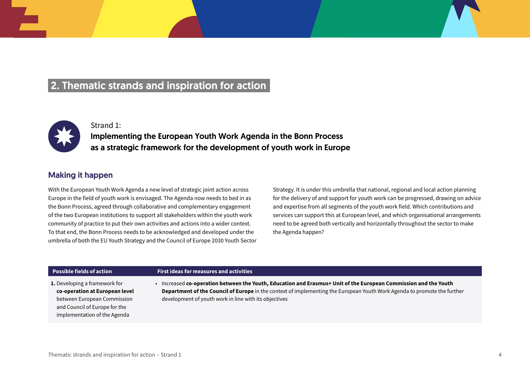# 2. Thematic strands and inspiration for action

![](_page_3_Picture_1.jpeg)

# Strand 1: Implementing the European Youth Work Agenda in the Bonn Process as a strategic framework for the development of youth work in Europe

### Making it happen

With the European Youth Work Agenda a new level of strategic joint action across Europe in the field of youth work is envisaged. The Agenda now needs to bed in as the Bonn Process, agreed through collaborative and complementary engagement of the two European institutions to support all stakeholders within the youth work community of practice to put their own activities and actions into a wider context. To that end, the Bonn Process needs to be acknowledged and developed under the umbrella of both the EU Youth Strategy and the Council of Europe 2030 Youth Sector Strategy. It is under this umbrella that national, regional and local action planning for the delivery of and support for youth work can be progressed, drawing on advice and expertise from all segments of the youth work field. Which contributions and services can support this at European level, and which organisational arrangements need to be agreed both vertically and horizontally throughout the sector to make the Agenda happen?

#### **Possible fields of action First ideas for measures and activities**

**1.** Developing a framework for **co-operation at European level** between European Commission and Council of Europe for the implementation of the Agenda

• Increased **co-operation between the Youth, Education and Erasmus+ Unit of the European Commission and the Youth Department of the Council of Europe** in the context of implementing the European Youth Work Agenda to promote the further development of youth work in line with its objectives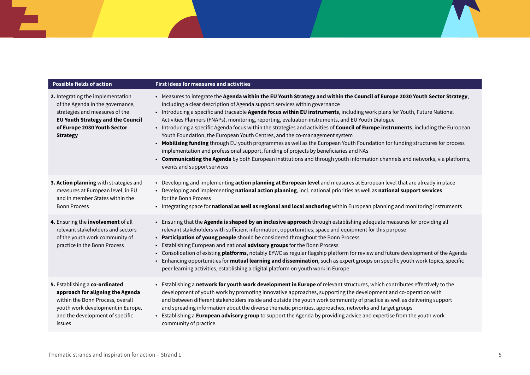| <b>Possible fields of action</b>                                                                                                                                                                      | <b>First ideas for measures and activities</b>                                                                                                                                                                                                                                                                                                                                                                                                                                                                                                                                                                                                                                                                                                                                                                                                                                                                                                                                                                                                             |
|-------------------------------------------------------------------------------------------------------------------------------------------------------------------------------------------------------|------------------------------------------------------------------------------------------------------------------------------------------------------------------------------------------------------------------------------------------------------------------------------------------------------------------------------------------------------------------------------------------------------------------------------------------------------------------------------------------------------------------------------------------------------------------------------------------------------------------------------------------------------------------------------------------------------------------------------------------------------------------------------------------------------------------------------------------------------------------------------------------------------------------------------------------------------------------------------------------------------------------------------------------------------------|
| 2. Integrating the implementation<br>of the Agenda in the governance,<br>strategies and measures of the<br><b>EU Youth Strategy and the Council</b><br>of Europe 2030 Youth Sector<br><b>Strategy</b> | . Measures to integrate the Agenda within the EU Youth Strategy and within the Council of Europe 2030 Youth Sector Strategy,<br>including a clear description of Agenda support services within governance<br>• Introducing a specific and traceable Agenda focus within EU instruments, including work plans for Youth, Future National<br>Activities Planners (FNAPs), monitoring, reporting, evaluation instruments, and EU Youth Dialogue<br>• Introducing a specific Agenda focus within the strategies and activities of Council of Europe instruments, including the European<br>Youth Foundation, the European Youth Centres, and the co-management system<br>• Mobilising funding through EU youth programmes as well as the European Youth Foundation for funding structures for process<br>implementation and professional support, funding of projects by beneficiaries and NAs<br>• Communicating the Agenda by both European institutions and through youth information channels and networks, via platforms,<br>events and support services |
| 3. Action planning with strategies and<br>measures at European level, in EU<br>and in member States within the<br><b>Bonn Process</b>                                                                 | • Developing and implementing action planning at European level and measures at European level that are already in place<br>• Developing and implementing national action planning, incl. national priorities as well as national support services<br>for the Bonn Process<br>• Integrating space for national as well as regional and local anchoring within European planning and monitoring instruments                                                                                                                                                                                                                                                                                                                                                                                                                                                                                                                                                                                                                                                 |
| 4. Ensuring the involvement of all<br>relevant stakeholders and sectors<br>of the youth work community of<br>practice in the Bonn Process                                                             | • Ensuring that the Agenda is shaped by an inclusive approach through establishing adequate measures for providing all<br>relevant stakeholders with sufficient information, opportunities, space and equipment for this purpose<br>• Participation of young people should be considered throughout the Bonn Process<br>• Establishing European and national advisory groups for the Bonn Process<br>• Consolidation of existing <b>platforms</b> , notably EYWC as regular flagship platform for review and future development of the Agenda<br>• Enhancing opportunities for mutual learning and dissemination, such as expert groups on specific youth work topics, specific<br>peer learning activities, establishing a digital platform on youth work in Europe                                                                                                                                                                                                                                                                                       |
| 5. Establishing a co-ordinated<br>approach for aligning the Agenda<br>within the Bonn Process, overall<br>youth work development in Europe,<br>and the development of specific<br>issues              | • Establishing a network for youth work development in Europe of relevant structures, which contributes effectively to the<br>development of youth work by promoting innovative approaches, supporting the development and co-operation with<br>and between different stakeholders inside and outside the youth work community of practice as well as delivering support<br>and spreading information about the diverse thematic priorities, approaches, networks and target groups<br>Establishing a European advisory group to support the Agenda by providing advice and expertise from the youth work<br>community of practice                                                                                                                                                                                                                                                                                                                                                                                                                         |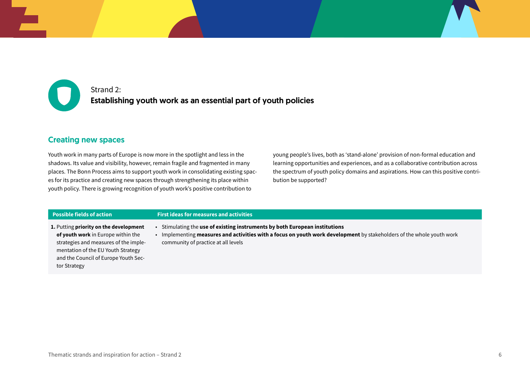Strand 2: Establishing youth work as an essential part of youth policies

### Creating new spaces

Youth work in many parts of Europe is now more in the spotlight and less in the shadows. Its value and visibility, however, remain fragile and fragmented in many places. The Bonn Process aims to support youth work in consolidating existing spaces for its practice and creating new spaces through strengthening its place within youth policy. There is growing recognition of youth work's positive contribution to

young people's lives, both as 'stand-alone' provision of non-formal education and learning opportunities and experiences, and as a collaborative contribution across the spectrum of youth policy domains and aspirations. How can this positive contribution be supported?

#### **Possible fields of action First ideas for measures and activities**

**1.** Putting **priority on the development of youth work** in Europe within the strategies and measures of the implementation of the EU Youth Strategy and the Council of Europe Youth Sector Strategy

- Stimulating the **use of existing instruments by both European institutions**
- Implementing **measures and activities with a focus on youth work development** by stakeholders of the whole youth work community of practice at all levels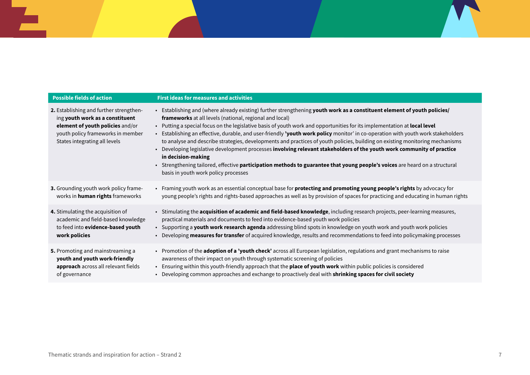| <b>Possible fields of action</b>                                                                                                                                                     | <b>First ideas for measures and activities</b>                                                                                                                                                                                                                                                                                                                                                                                                                                                                                                                                                                                                                                                                                                                                                                                                                                                                           |
|--------------------------------------------------------------------------------------------------------------------------------------------------------------------------------------|--------------------------------------------------------------------------------------------------------------------------------------------------------------------------------------------------------------------------------------------------------------------------------------------------------------------------------------------------------------------------------------------------------------------------------------------------------------------------------------------------------------------------------------------------------------------------------------------------------------------------------------------------------------------------------------------------------------------------------------------------------------------------------------------------------------------------------------------------------------------------------------------------------------------------|
| 2. Establishing and further strengthen-<br>ing youth work as a constituent<br>element of youth policies and/or<br>youth policy frameworks in member<br>States integrating all levels | • Establishing and (where already existing) further strengthening youth work as a constituent element of youth policies/<br><b>frameworks</b> at all levels (national, regional and local)<br>. Putting a special focus on the legislative basis of youth work and opportunities for its implementation at local level<br>• Establishing an effective, durable, and user-friendly 'youth work policy monitor' in co-operation with youth work stakeholders<br>to analyse and describe strategies, developments and practices of youth policies, building on existing monitoring mechanisms<br>• Developing legislative development processes involving relevant stakeholders of the youth work community of practice<br>in decision-making<br>• Strengthening tailored, effective <b>participation methods to guarantee that young people's voices</b> are heard on a structural<br>basis in youth work policy processes |
| 3. Grounding youth work policy frame-                                                                                                                                                | • Framing youth work as an essential conceptual base for <b>protecting and promoting young people's rights</b> by advocacy for                                                                                                                                                                                                                                                                                                                                                                                                                                                                                                                                                                                                                                                                                                                                                                                           |
| works in <b>human rights</b> frameworks                                                                                                                                              | young people's rights and rights-based approaches as well as by provision of spaces for practicing and educating in human rights                                                                                                                                                                                                                                                                                                                                                                                                                                                                                                                                                                                                                                                                                                                                                                                         |
| 4. Stimulating the acquisition of                                                                                                                                                    | • Stimulating the acquisition of academic and field-based knowledge, including research projects, peer-learning measures,                                                                                                                                                                                                                                                                                                                                                                                                                                                                                                                                                                                                                                                                                                                                                                                                |
| academic and field-based knowledge                                                                                                                                                   | practical materials and documents to feed into evidence-based youth work policies                                                                                                                                                                                                                                                                                                                                                                                                                                                                                                                                                                                                                                                                                                                                                                                                                                        |
| to feed into evidence-based youth                                                                                                                                                    | • Supporting a youth work research agenda addressing blind spots in knowledge on youth work and youth work policies                                                                                                                                                                                                                                                                                                                                                                                                                                                                                                                                                                                                                                                                                                                                                                                                      |
| work policies                                                                                                                                                                        | • Developing measures for transfer of acquired knowledge, results and recommendations to feed into policymaking processes                                                                                                                                                                                                                                                                                                                                                                                                                                                                                                                                                                                                                                                                                                                                                                                                |
| 5. Promoting and mainstreaming a                                                                                                                                                     | • Promotion of the adoption of a 'youth check' across all European legislation, regulations and grant mechanisms to raise                                                                                                                                                                                                                                                                                                                                                                                                                                                                                                                                                                                                                                                                                                                                                                                                |
| youth and youth work-friendly                                                                                                                                                        | awareness of their impact on youth through systematic screening of policies                                                                                                                                                                                                                                                                                                                                                                                                                                                                                                                                                                                                                                                                                                                                                                                                                                              |
| approach across all relevant fields                                                                                                                                                  | • Ensuring within this youth-friendly approach that the place of youth work within public policies is considered                                                                                                                                                                                                                                                                                                                                                                                                                                                                                                                                                                                                                                                                                                                                                                                                         |
| of governance                                                                                                                                                                        | • Developing common approaches and exchange to proactively deal with shrinking spaces for civil society                                                                                                                                                                                                                                                                                                                                                                                                                                                                                                                                                                                                                                                                                                                                                                                                                  |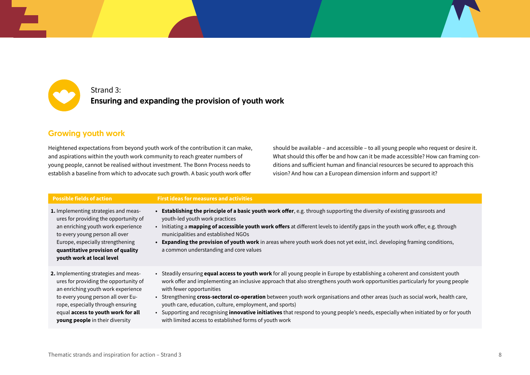![](_page_7_Picture_0.jpeg)

# Strand 3: Ensuring and expanding the provision of youth work

# Growing youth work

Heightened expectations from beyond youth work of the contribution it can make, and aspirations within the youth work community to reach greater numbers of young people, cannot be realised without investment. The Bonn Process needs to establish a baseline from which to advocate such growth. A basic youth work offer

should be available – and accessible – to all young people who request or desire it. What should this offer be and how can it be made accessible? How can framing conditions and sufficient human and financial resources be secured to approach this vision? And how can a European dimension inform and support it?

| <b>Possible fields of action</b>                                                                                                                                                                                                                                        | <b>First ideas for measures and activities</b>                                                                                                                                                                                                                                                                                                                                                                                                                                                                                                                                                                                                                                                    |
|-------------------------------------------------------------------------------------------------------------------------------------------------------------------------------------------------------------------------------------------------------------------------|---------------------------------------------------------------------------------------------------------------------------------------------------------------------------------------------------------------------------------------------------------------------------------------------------------------------------------------------------------------------------------------------------------------------------------------------------------------------------------------------------------------------------------------------------------------------------------------------------------------------------------------------------------------------------------------------------|
| 1. Implementing strategies and meas-<br>ures for providing the opportunity of<br>an enriching youth work experience<br>to every young person all over<br>Europe, especially strengthening<br>quantitative provision of quality<br>youth work at local level             | Establishing the principle of a basic youth work offer, e.g. through supporting the diversity of existing grassroots and<br>youth-led youth work practices<br>• Initiating a mapping of accessible youth work offers at different levels to identify gaps in the youth work offer, e.g. through<br>municipalities and established NGOs<br>• Expanding the provision of youth work in areas where youth work does not yet exist, incl. developing framing conditions,<br>a common understanding and core values                                                                                                                                                                                    |
| 2. Implementing strategies and meas-<br>ures for providing the opportunity of<br>an enriching youth work experience<br>to every young person all over Eu-<br>rope, especially through ensuring<br>equal access to youth work for all<br>young people in their diversity | • Steadily ensuring equal access to youth work for all young people in Europe by establishing a coherent and consistent youth<br>work offer and implementing an inclusive approach that also strengthens youth work opportunities particularly for young people<br>with fewer opportunities<br>• Strengthening cross-sectoral co-operation between youth work organisations and other areas (such as social work, health care,<br>youth care, education, culture, employment, and sports)<br>• Supporting and recognising <b>innovative initiatives</b> that respond to young people's needs, especially when initiated by or for youth<br>with limited access to established forms of youth work |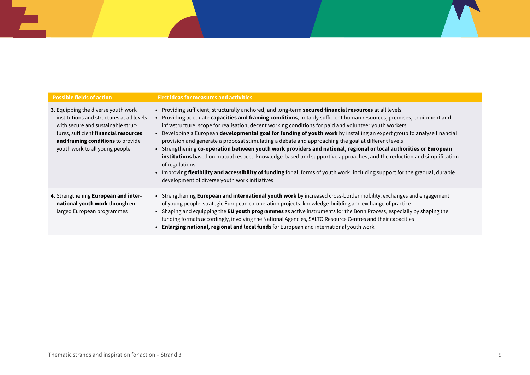| <b>Possible fields of action</b>                                                                                                                                                                                                              | <b>First ideas for measures and activities</b>                                                                                                                                                                                                                                                                                                                                                                                                                                                                                                                                                                                                                                                                                                                                                                                                                                                                                                                                                                            |
|-----------------------------------------------------------------------------------------------------------------------------------------------------------------------------------------------------------------------------------------------|---------------------------------------------------------------------------------------------------------------------------------------------------------------------------------------------------------------------------------------------------------------------------------------------------------------------------------------------------------------------------------------------------------------------------------------------------------------------------------------------------------------------------------------------------------------------------------------------------------------------------------------------------------------------------------------------------------------------------------------------------------------------------------------------------------------------------------------------------------------------------------------------------------------------------------------------------------------------------------------------------------------------------|
| <b>3.</b> Equipping the diverse youth work<br>institutions and structures at all levels<br>with secure and sustainable struc-<br>tures, sufficient financial resources<br>and framing conditions to provide<br>youth work to all young people | • Providing sufficient, structurally anchored, and long-term secured financial resources at all levels<br>• Providing adequate capacities and framing conditions, notably sufficient human resources, premises, equipment and<br>infrastructure, scope for realisation, decent working conditions for paid and volunteer youth workers<br>• Developing a European developmental goal for funding of youth work by installing an expert group to analyse financial<br>provision and generate a proposal stimulating a debate and approaching the goal at different levels<br>• Strengthening co-operation between youth work providers and national, regional or local authorities or European<br>institutions based on mutual respect, knowledge-based and supportive approaches, and the reduction and simplification<br>of regulations<br>• Improving flexibility and accessibility of funding for all forms of youth work, including support for the gradual, durable<br>development of diverse youth work initiatives |
| 4. Strengthening European and inter-<br>national youth work through en-<br>larged European programmes                                                                                                                                         | • Strengthening European and international youth work by increased cross-border mobility, exchanges and engagement<br>of young people, strategic European co-operation projects, knowledge-building and exchange of practice<br>• Shaping and equipping the EU youth programmes as active instruments for the Bonn Process, especially by shaping the<br>funding formats accordingly, involving the National Agencies, SALTO Resource Centres and their capacities<br>• Enlarging national, regional and local funds for European and international youth work                                                                                                                                                                                                                                                                                                                                                                                                                                                            |

<u>a sa Ba</u>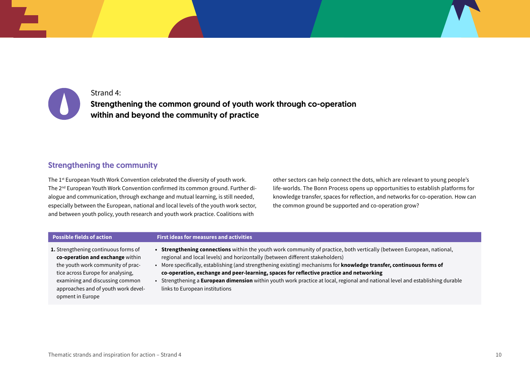Strand 4: Strengthening the common ground of youth work through co-operation within and beyond the community of practice

## Strengthening the community

The 1<sup>st</sup> European Youth Work Convention celebrated the diversity of youth work. The 2<sup>nd</sup> European Youth Work Convention confirmed its common ground. Further dialogue and communication, through exchange and mutual learning, is still needed, especially between the European, national and local levels of the youth work sector, and between youth policy, youth research and youth work practice. Coalitions with

other sectors can help connect the dots, which are relevant to young people's life-worlds. The Bonn Process opens up opportunities to establish platforms for knowledge transfer, spaces for reflection, and networks for co-operation. How can the common ground be supported and co-operation grow?

#### **Possible fields of action First ideas for measures and activities**

- **1.** Strengthening continuous forms of **co-operation and exchange** within the youth work community of practice across Europe for analysing, examining and discussing common approaches and of youth work development in Europe
- **• Strengthening connections** within the youth work community of practice, both vertically (between European, national, regional and local levels) and horizontally (between different stakeholders)
- More specifically, establishing (and strengthening existing) mechanisms for **knowledge transfer, continuous forms of co-operation, exchange and peer-learning, spaces for reflective practice and networking**
- Strengthening a **European dimension** within youth work practice at local, regional and national level and establishing durable links to European institutions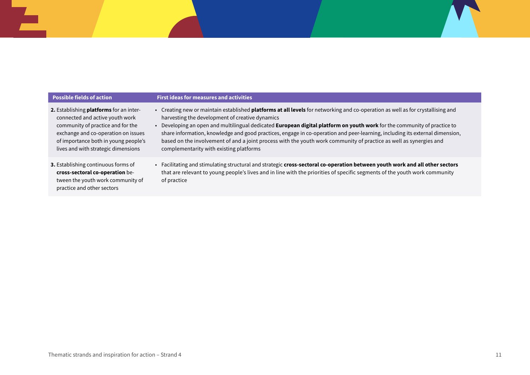| <b>Possible fields of action</b>                                                                                                                                                                                                      | <b>First ideas for measures and activities</b>                                                                                                                                                                                                                                                                                                                                                                                                                                                                                                                                                                         |
|---------------------------------------------------------------------------------------------------------------------------------------------------------------------------------------------------------------------------------------|------------------------------------------------------------------------------------------------------------------------------------------------------------------------------------------------------------------------------------------------------------------------------------------------------------------------------------------------------------------------------------------------------------------------------------------------------------------------------------------------------------------------------------------------------------------------------------------------------------------------|
| 2. Establishing platforms for an inter-<br>connected and active youth work<br>community of practice and for the<br>exchange and co-operation on issues<br>of importance both in young people's<br>lives and with strategic dimensions | • Creating new or maintain established <b>platforms at all levels</b> for networking and co-operation as well as for crystallising and<br>harvesting the development of creative dynamics<br>• Developing an open and multilingual dedicated European digital platform on youth work for the community of practice to<br>share information, knowledge and good practices, engage in co-operation and peer-learning, including its external dimension,<br>based on the involvement of and a joint process with the youth work community of practice as well as synergies and<br>complementarity with existing platforms |
| 3. Establishing continuous forms of<br>cross-sectoral co-operation be-<br>tween the youth work community of<br>practice and other sectors                                                                                             | · Facilitating and stimulating structural and strategic cross-sectoral co-operation between youth work and all other sectors<br>that are relevant to young people's lives and in line with the priorities of specific segments of the youth work community<br>of practice                                                                                                                                                                                                                                                                                                                                              |

<u>a sa san</u>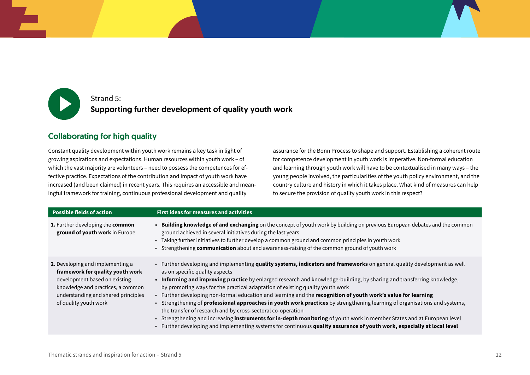![](_page_11_Picture_0.jpeg)

# Strand 5: Supporting further development of quality youth work

# Collaborating for high quality

Constant quality development within youth work remains a key task in light of growing aspirations and expectations. Human resources within youth work – of which the vast majority are volunteers – need to possess the competences for effective practice. Expectations of the contribution and impact of youth work have increased (and been claimed) in recent years. This requires an accessible and meaningful framework for training, continuous professional development and quality

assurance for the Bonn Process to shape and support. Establishing a coherent route for competence development in youth work is imperative. Non-formal education and learning through youth work will have to be contextualised in many ways – the young people involved, the particularities of the youth policy environment, and the country culture and history in which it takes place. What kind of measures can help to secure the provision of quality youth work in this respect?

| <b>Possible fields of action</b>                                                                                                                                                                           | <b>First ideas for measures and activities</b>                                                                                                                                                                                                                                                                                                                                                                                                                                                                                                                                                                                                                                                                                                                                                                                                                                                                                           |
|------------------------------------------------------------------------------------------------------------------------------------------------------------------------------------------------------------|------------------------------------------------------------------------------------------------------------------------------------------------------------------------------------------------------------------------------------------------------------------------------------------------------------------------------------------------------------------------------------------------------------------------------------------------------------------------------------------------------------------------------------------------------------------------------------------------------------------------------------------------------------------------------------------------------------------------------------------------------------------------------------------------------------------------------------------------------------------------------------------------------------------------------------------|
| 1. Further developing the common<br>ground of youth work in Europe                                                                                                                                         | • Building knowledge of and exchanging on the concept of youth work by building on previous European debates and the common<br>ground achieved in several initiatives during the last years<br>• Taking further initiatives to further develop a common ground and common principles in youth work<br>• Strengthening communication about and awareness-raising of the common ground of youth work                                                                                                                                                                                                                                                                                                                                                                                                                                                                                                                                       |
| 2. Developing and implementing a<br>framework for quality youth work<br>development based on existing<br>knowledge and practices, a common<br>understanding and shared principles<br>of quality youth work | • Further developing and implementing quality systems, indicators and frameworks on general quality development as well<br>as on specific quality aspects<br>• Informing and improving practice by enlarged research and knowledge-building, by sharing and transferring knowledge,<br>by promoting ways for the practical adaptation of existing quality youth work<br>• Further developing non-formal education and learning and the recognition of youth work's value for learning<br>• Strengthening of professional approaches in youth work practices by strengthening learning of organisations and systems,<br>the transfer of research and by cross-sectoral co-operation<br>• Strengthening and increasing instruments for in-depth monitoring of youth work in member States and at European level<br>• Further developing and implementing systems for continuous quality assurance of youth work, especially at local level |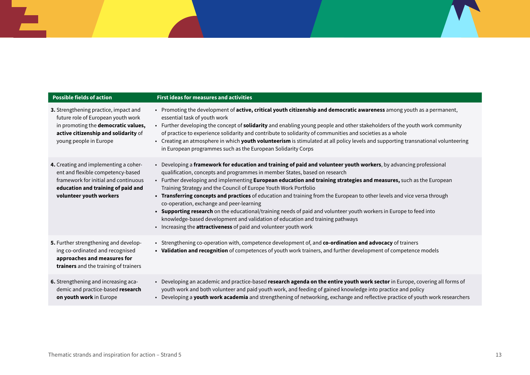| <b>Possible fields of action</b>                                                                                                                                                     | <b>First ideas for measures and activities</b>                                                                                                                                                                                                                                                                                                                                                                                                                                                                                                                                                                                                                                                                                                                                                                                                        |
|--------------------------------------------------------------------------------------------------------------------------------------------------------------------------------------|-------------------------------------------------------------------------------------------------------------------------------------------------------------------------------------------------------------------------------------------------------------------------------------------------------------------------------------------------------------------------------------------------------------------------------------------------------------------------------------------------------------------------------------------------------------------------------------------------------------------------------------------------------------------------------------------------------------------------------------------------------------------------------------------------------------------------------------------------------|
| 3. Strengthening practice, impact and<br>future role of European youth work<br>in promoting the democratic values,<br>active citizenship and solidarity of<br>young people in Europe | • Promoting the development of active, critical youth citizenship and democratic awareness among youth as a permanent,<br>essential task of youth work<br>• Further developing the concept of solidarity and enabling young people and other stakeholders of the youth work community<br>of practice to experience solidarity and contribute to solidarity of communities and societies as a whole<br>• Creating an atmosphere in which youth volunteerism is stimulated at all policy levels and supporting transnational volunteering<br>in European programmes such as the European Solidarity Corps                                                                                                                                                                                                                                               |
| 4. Creating and implementing a coher-<br>ent and flexible competency-based<br>framework for initial and continuous<br>education and training of paid and<br>volunteer youth workers  | • Developing a framework for education and training of paid and volunteer youth workers, by advancing professional<br>qualification, concepts and programmes in member States, based on research<br>• Further developing and implementing European education and training strategies and measures, such as the European<br>Training Strategy and the Council of Europe Youth Work Portfolio<br>• Transferring concepts and practices of education and training from the European to other levels and vice versa through<br>co-operation, exchange and peer-learning<br>• Supporting research on the educational/training needs of paid and volunteer youth workers in Europe to feed into<br>knowledge-based development and validation of education and training pathways<br>• Increasing the <b>attractiveness</b> of paid and volunteer youth work |
| 5. Further strengthening and develop-<br>ing co-ordinated and recognised<br>approaches and measures for<br>trainers and the training of trainers                                     | • Strengthening co-operation with, competence development of, and co-ordination and advocacy of trainers<br>• Validation and recognition of competences of youth work trainers, and further development of competence models                                                                                                                                                                                                                                                                                                                                                                                                                                                                                                                                                                                                                          |
| 6. Strengthening and increasing aca-<br>demic and practice-based research<br>on youth work in Europe                                                                                 | • Developing an academic and practice-based research agenda on the entire youth work sector in Europe, covering all forms of<br>youth work and both volunteer and paid youth work, and feeding of gained knowledge into practice and policy<br>• Developing a youth work academia and strengthening of networking, exchange and reflective practice of youth work researchers                                                                                                                                                                                                                                                                                                                                                                                                                                                                         |

a Tin <u>a sa sa</u>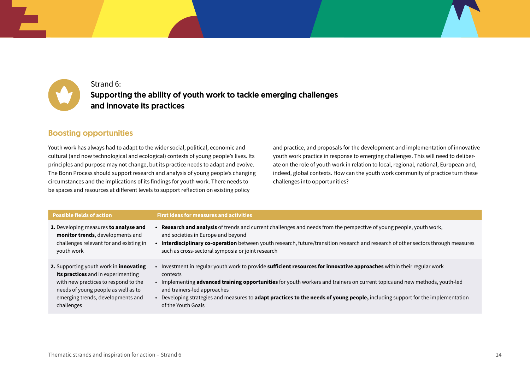![](_page_13_Picture_0.jpeg)

# Strand 6: Supporting the ability of youth work to tackle emerging challenges and innovate its practices

# Boosting opportunities

Youth work has always had to adapt to the wider social, political, economic and cultural (and now technological and ecological) contexts of young people's lives. Its principles and purpose may not change, but its practice needs to adapt and evolve. The Bonn Process should support research and analysis of young people's changing circumstances and the implications of its findings for youth work. There needs to be spaces and resources at different levels to support reflection on existing policy

and practice, and proposals for the development and implementation of innovative youth work practice in response to emerging challenges. This will need to deliberate on the role of youth work in relation to local, regional, national, European and, indeed, global contexts. How can the youth work community of practice turn these challenges into opportunities?

| <b>Possible fields of action</b>              | <b>First ideas for measures and activities</b>                                                                                   |
|-----------------------------------------------|----------------------------------------------------------------------------------------------------------------------------------|
| 1. Developing measures to analyse and         | Research and analysis of trends and current challenges and needs from the perspective of young people, youth work,               |
| monitor trends, developments and              | and societies in Europe and beyond                                                                                               |
| challenges relevant for and existing in       | Interdisciplinary co-operation between youth research, future/transition research and research of other sectors through measures |
| youth work                                    | such as cross-sectoral symposia or joint research                                                                                |
| 2. Supporting youth work in <i>innovating</i> | Investment in regular youth work to provide sufficient resources for innovative approaches within their regular work             |
| its practices and in experimenting            | contexts                                                                                                                         |
| with new practices to respond to the          | Implementing advanced training opportunities for youth workers and trainers on current topics and new methods, youth-led         |
| needs of young people as well as to           | and trainers-led approaches                                                                                                      |
| emerging trends, developments and             | Developing strategies and measures to adapt practices to the needs of young people, including support for the implementation     |
| challenges                                    | of the Youth Goals                                                                                                               |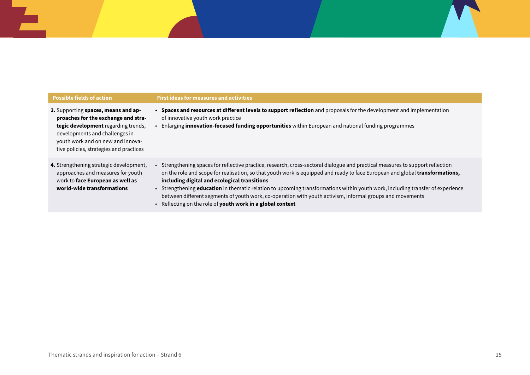| <b>Possible fields of action</b>                                                                                                                                                                                                    | <b>First ideas for measures and activities</b>                                                                                                                                                                                                                                                                                                                                                                                                                                                                                                                                                                          |
|-------------------------------------------------------------------------------------------------------------------------------------------------------------------------------------------------------------------------------------|-------------------------------------------------------------------------------------------------------------------------------------------------------------------------------------------------------------------------------------------------------------------------------------------------------------------------------------------------------------------------------------------------------------------------------------------------------------------------------------------------------------------------------------------------------------------------------------------------------------------------|
| 3. Supporting spaces, means and ap-<br>proaches for the exchange and stra-<br>tegic development regarding trends,<br>developments and challenges in<br>youth work and on new and innova-<br>tive policies, strategies and practices | Spaces and resources at different levels to support reflection and proposals for the development and implementation<br>of innovative youth work practice<br>Enlarging <i>innovation-focused funding opportunities</i> within European and national funding programmes                                                                                                                                                                                                                                                                                                                                                   |
| 4. Strengthening strategic development,<br>approaches and measures for youth<br>work to face European as well as<br>world-wide transformations                                                                                      | Strengthening spaces for reflective practice, research, cross-sectoral dialogue and practical measures to support reflection<br>on the role and scope for realisation, so that youth work is equipped and ready to face European and global transformations,<br>including digital and ecological transitions<br>• Strengthening education in thematic relation to upcoming transformations within youth work, including transfer of experience<br>between different segments of youth work, co-operation with youth activism, informal groups and movements<br>Reflecting on the role of youth work in a global context |

<u> The Community of the Community of the Community of the Community of the Community of the Community of the Community of the Community of the Community of the Community of the Community of the Community of the Community of</u>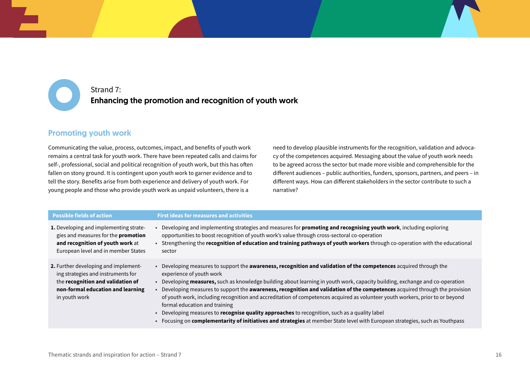Strand 7: Enhancing the promotion and recognition of youth work

#### Promoting youth work

Communicating the value, process, outcomes, impact, and benefits of youth work remains a central task for youth work. There have been repeated calls and claims for self-, professional, social and political recognition of youth work, but this has often fallen on stony ground. It is contingent upon youth work to garner evidence and to tell the story. Benefits arise from both experience and delivery of youth work. For young people and those who provide youth work as unpaid volunteers, there is a

need to develop plausible instruments for the recognition, validation and advocacy of the competences acquired. Messaging about the value of youth work needs to be agreed across the sector but made more visible and comprehensible for the different audiences – public authorities, funders, sponsors, partners, and peers – in different ways. How can different stakeholders in the sector contribute to such a narrative?

| <b>Possible fields of action</b>                                                                                                                                      | <b>First ideas for measures and activities</b>                                                                                                                                                                                                                                                                                                                                                                                                                                                                                                                                                                                                                                                                                                                                                                  |
|-----------------------------------------------------------------------------------------------------------------------------------------------------------------------|-----------------------------------------------------------------------------------------------------------------------------------------------------------------------------------------------------------------------------------------------------------------------------------------------------------------------------------------------------------------------------------------------------------------------------------------------------------------------------------------------------------------------------------------------------------------------------------------------------------------------------------------------------------------------------------------------------------------------------------------------------------------------------------------------------------------|
| 1. Developing and implementing strate-<br>gies and measures for the <b>promotion</b><br>and recognition of youth work at<br>European level and in member States       | Developing and implementing strategies and measures for <b>promoting and recognising youth work</b> , including exploring<br>opportunities to boost recognition of youth work's value through cross-sectoral co-operation<br>• Strengthening the recognition of education and training pathways of youth workers through co-operation with the educational<br>sector                                                                                                                                                                                                                                                                                                                                                                                                                                            |
| 2. Further developing and implement-<br>ing strategies and instruments for<br>the recognition and validation of<br>non-formal education and learning<br>in youth work | Developing measures to support the <b>awareness, recognition and validation of the competences</b> acquired through the<br>experience of youth work<br>Developing measures, such as knowledge building about learning in youth work, capacity building, exchange and co-operation<br>Developing measures to support the awareness, recognition and validation of the competences acquired through the provision<br>of youth work, including recognition and accreditation of competences acquired as volunteer youth workers, prior to or beyond<br>formal education and training<br>Developing measures to recognise quality approaches to recognition, such as a quality label<br>Focusing on complementarity of initiatives and strategies at member State level with European strategies, such as Youthpass |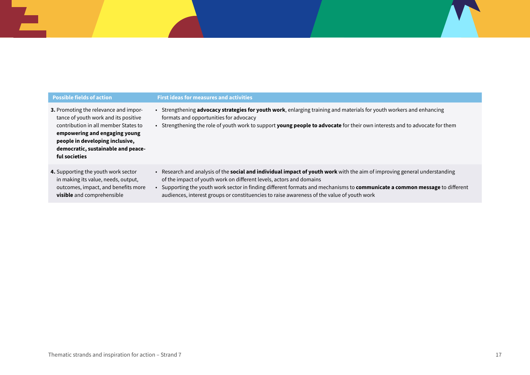| <b>Possible fields of action</b>                                                                                                                                                                                                                 | <b>First ideas for measures and activities</b>                                                                                                                                                                                                                                                                                                                                                                                       |
|--------------------------------------------------------------------------------------------------------------------------------------------------------------------------------------------------------------------------------------------------|--------------------------------------------------------------------------------------------------------------------------------------------------------------------------------------------------------------------------------------------------------------------------------------------------------------------------------------------------------------------------------------------------------------------------------------|
| 3. Promoting the relevance and impor-<br>tance of youth work and its positive<br>contribution in all member States to<br>empowering and engaging young<br>people in developing inclusive,<br>democratic, sustainable and peace-<br>ful societies | • Strengthening advocacy strategies for youth work, enlarging training and materials for youth workers and enhancing<br>formats and opportunities for advocacy<br>• Strengthening the role of youth work to support young people to advocate for their own interests and to advocate for them                                                                                                                                        |
| 4. Supporting the youth work sector<br>in making its value, needs, output,<br>outcomes, impact, and benefits more<br>visible and comprehensible                                                                                                  | • Research and analysis of the <b>social and individual impact of youth work</b> with the aim of improving general understanding<br>of the impact of youth work on different levels, actors and domains<br>• Supporting the youth work sector in finding different formats and mechanisms to communicate a common message to different<br>audiences, interest groups or constituencies to raise awareness of the value of youth work |

<u>a sa sa</u>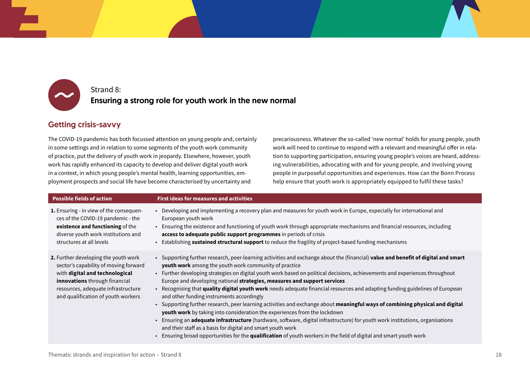![](_page_17_Picture_0.jpeg)

# Strand 8: Ensuring a strong role for youth work in the new normal

# Getting crisis-savvy

The COVID-19 pandemic has both focussed attention on young people and, certainly in some settings and in relation to some segments of the youth work community of practice, put the delivery of youth work in jeopardy. Elsewhere, however, youth work has rapidly enhanced its capacity to develop and deliver digital youth work in a context, in which young people's mental health, learning opportunities, employment prospects and social life have become characterised by uncertainty and

precariousness. Whatever the so-called 'new normal' holds for young people, youth work will need to continue to respond with a relevant and meaningful offer in relation to supporting participation, ensuring young people's voices are heard, addressing vulnerabilities, advocating with and for young people, and involving young people in purposeful opportunities and experiences. How can the Bonn Process help ensure that youth work is appropriately equipped to fulfil these tasks?

| <b>Possible fields of action</b>                                                                                                                                                                                             | First ideas for measures and activities                                                                                                                                                                                                                                                                                                                                                                                                                                                                                                                                                                                                                                                                                                                                                                                                                                                                                                                                                                                                                                                                               |
|------------------------------------------------------------------------------------------------------------------------------------------------------------------------------------------------------------------------------|-----------------------------------------------------------------------------------------------------------------------------------------------------------------------------------------------------------------------------------------------------------------------------------------------------------------------------------------------------------------------------------------------------------------------------------------------------------------------------------------------------------------------------------------------------------------------------------------------------------------------------------------------------------------------------------------------------------------------------------------------------------------------------------------------------------------------------------------------------------------------------------------------------------------------------------------------------------------------------------------------------------------------------------------------------------------------------------------------------------------------|
| <b>1.</b> Ensuring - in view of the consequen-<br>ces of the COVID-19 pandemic - the<br>existence and functioning of the<br>diverse youth work institutions and<br>structures at all levels                                  | • Developing and implementing a recovery plan and measures for youth work in Europe, especially for international and<br>European youth work<br>• Ensuring the existence and functioning of youth work through appropriate mechanisms and financial resources, including<br>access to adequate public support programmes in periods of crisis<br>• Establishing sustained structural support to reduce the fragility of project-based funding mechanisms                                                                                                                                                                                                                                                                                                                                                                                                                                                                                                                                                                                                                                                              |
| 2. Further developing the youth work<br>sector's capability of moving forward<br>with digital and technological<br>innovations through financial<br>resources, adequate infrastructure<br>and qualification of youth workers | • Supporting further research, peer-learning activities and exchange about the (financial) value and benefit of digital and smart<br>youth work among the youth work community of practice<br>• Further developing strategies on digital youth work based on political decisions, achievements and experiences throughout<br>Europe and developing national strategies, measures and support services<br>• Recognising that quality digital youth work needs adequate financial resources and adapting funding guidelines of European<br>and other funding instruments accordingly<br>• Supporting further research, peer learning activities and exchange about meaningful ways of combining physical and digital<br>youth work by taking into consideration the experiences from the lockdown<br>• Ensuring an adequate infrastructure (hardware, software, digital infrastructure) for youth work institutions, organisations<br>and their staff as a basis for digital and smart youth work<br>• Ensuring broad opportunities for the qualification of youth workers in the field of digital and smart youth work |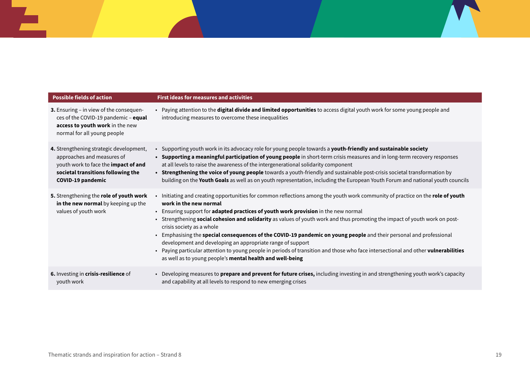| <b>Possible fields of action</b>                                                                                                                                                | <b>First ideas for measures and activities</b>                                                                                                                                                                                                                                                                                                                                                                                                                                                                                                                                                                                                                                                                                                                                                 |
|---------------------------------------------------------------------------------------------------------------------------------------------------------------------------------|------------------------------------------------------------------------------------------------------------------------------------------------------------------------------------------------------------------------------------------------------------------------------------------------------------------------------------------------------------------------------------------------------------------------------------------------------------------------------------------------------------------------------------------------------------------------------------------------------------------------------------------------------------------------------------------------------------------------------------------------------------------------------------------------|
| 3. Ensuring - in view of the consequen-<br>ces of the COVID-19 pandemic - equal<br>access to youth work in the new<br>normal for all young people                               | • Paying attention to the digital divide and limited opportunities to access digital youth work for some young people and<br>introducing measures to overcome these inequalities                                                                                                                                                                                                                                                                                                                                                                                                                                                                                                                                                                                                               |
| 4. Strengthening strategic development,<br>approaches and measures of<br>youth work to face the impact of and<br>societal transitions following the<br><b>COVID-19 pandemic</b> | • Supporting youth work in its advocacy role for young people towards a youth-friendly and sustainable society<br>• Supporting a meaningful participation of young people in short-term crisis measures and in long-term recovery responses<br>at all levels to raise the awareness of the intergenerational solidarity component<br>• Strengthening the voice of young people towards a youth-friendly and sustainable post-crisis societal transformation by<br>building on the Youth Goals as well as on youth representation, including the European Youth Forum and national youth councils                                                                                                                                                                                               |
| 5. Strengthening the role of youth work<br>in the new normal by keeping up the<br>values of youth work                                                                          | Initiating and creating opportunities for common reflections among the youth work community of practice on the role of youth<br>work in the new normal<br>• Ensuring support for adapted practices of youth work provision in the new normal<br>• Strengthening social cohesion and solidarity as values of youth work and thus promoting the impact of youth work on post-<br>crisis society as a whole<br>• Emphasising the special consequences of the COVID-19 pandemic on young people and their personal and professional<br>development and developing an appropriate range of support<br>Paying particular attention to young people in periods of transition and those who face intersectional and other vulnerabilities<br>as well as to young people's mental health and well-being |
| 6. Investing in crisis-resilience of<br>youth work                                                                                                                              | • Developing measures to <b>prepare and prevent for future crises</b> , including investing in and strengthening youth work's capacity<br>and capability at all levels to respond to new emerging crises                                                                                                                                                                                                                                                                                                                                                                                                                                                                                                                                                                                       |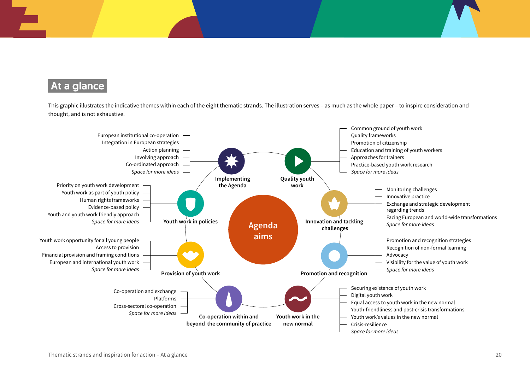# At a glance

This graphic illustrates the indicative themes within each of the eight thematic strands. The illustration serves – as much as the whole paper – to inspire consideration and thought, and is not exhaustive.

![](_page_19_Figure_2.jpeg)